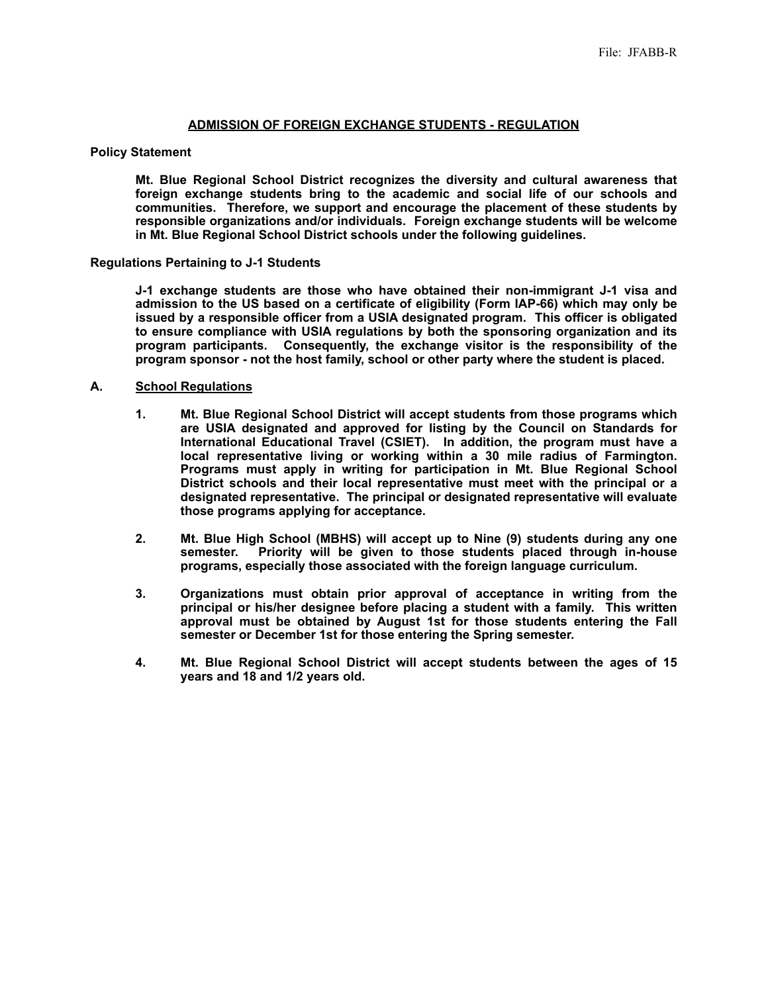### **ADMISSION OF FOREIGN EXCHANGE STUDENTS - REGULATION**

### **Policy Statement**

**Mt. Blue Regional School District recognizes the diversity and cultural awareness that foreign exchange students bring to the academic and social life of our schools and communities. Therefore, we support and encourage the placement of these students by responsible organizations and/or individuals. Foreign exchange students will be welcome in Mt. Blue Regional School District schools under the following guidelines.**

### **Regulations Pertaining to J-1 Students**

**J-1 exchange students are those who have obtained their non-immigrant J-1 visa and admission to the US based on a certificate of eligibility (Form IAP-66) which may only be issued by a responsible officer from a USIA designated program. This officer is obligated to ensure compliance with USIA regulations by both the sponsoring organization and its program participants. Consequently, the exchange visitor is the responsibility of the program sponsor - not the host family, school or other party where the student is placed.**

### **A. School Regulations**

- **1. Mt. Blue Regional School District will accept students from those programs which are USIA designated and approved for listing by the Council on Standards for International Educational Travel (CSIET). In addition, the program must have a local representative living or working within a 30 mile radius of Farmington. Programs must apply in writing for participation in Mt. Blue Regional School District schools and their local representative must meet with the principal or a designated representative. The principal or designated representative will evaluate those programs applying for acceptance.**
- **2. Mt. Blue High School (MBHS) will accept up to Nine (9) students during any one semester. Priority will be given to those students placed through in-house programs, especially those associated with the foreign language curriculum.**
- **3. Organizations must obtain prior approval of acceptance in writing from the principal or his/her designee before placing a student with a family. This written approval must be obtained by August 1st for those students entering the Fall semester or December 1st for those entering the Spring semester.**
- **4. Mt. Blue Regional School District will accept students between the ages of 15 years and 18 and 1/2 years old.**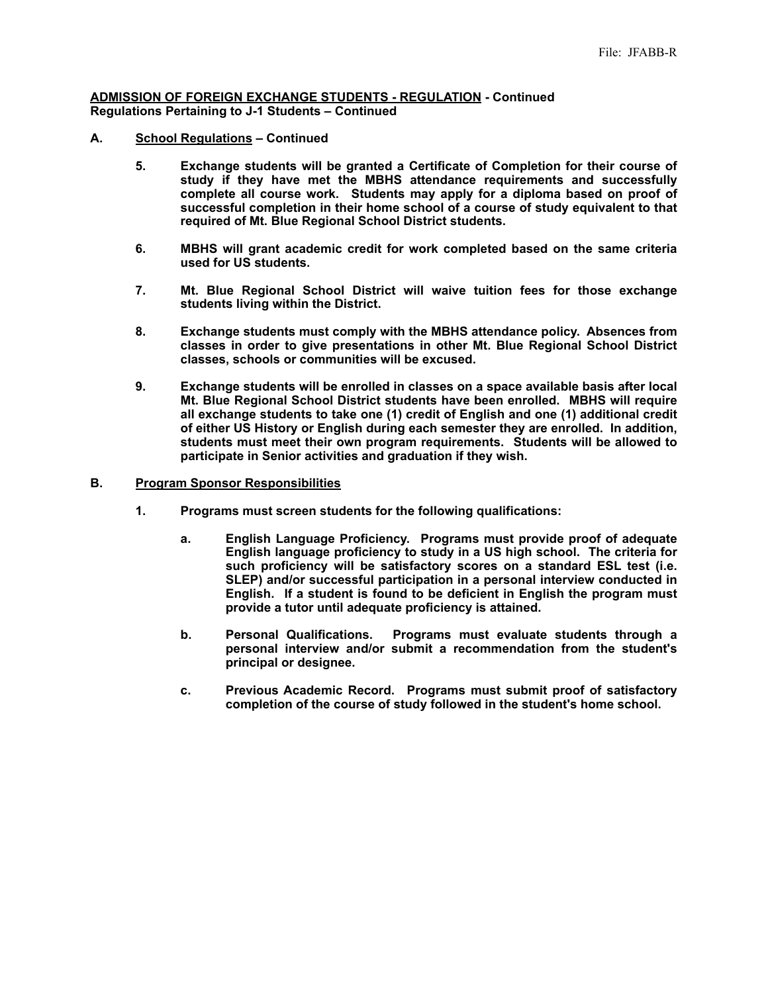### **ADMISSION OF FOREIGN EXCHANGE STUDENTS - REGULATION - Continued Regulations Pertaining to J-1 Students – Continued**

- **A. School Regulations Continued**
	- **5. Exchange students will be granted a Certificate of Completion for their course of study if they have met the MBHS attendance requirements and successfully complete all course work. Students may apply for a diploma based on proof of successful completion in their home school of a course of study equivalent to that required of Mt. Blue Regional School District students.**
	- **6. MBHS will grant academic credit for work completed based on the same criteria used for US students.**
	- **7. Mt. Blue Regional School District will waive tuition fees for those exchange students living within the District.**
	- **8. Exchange students must comply with the MBHS attendance policy. Absences from classes in order to give presentations in other Mt. Blue Regional School District classes, schools or communities will be excused.**
	- **9. Exchange students will be enrolled in classes on a space available basis after local Mt. Blue Regional School District students have been enrolled. MBHS will require all exchange students to take one (1) credit of English and one (1) additional credit of either US History or English during each semester they are enrolled. In addition, students must meet their own program requirements. Students will be allowed to participate in Senior activities and graduation if they wish.**
- **B. Program Sponsor Responsibilities**
	- **1. Programs must screen students for the following qualifications:**
		- **a. English Language Proficiency. Programs must provide proof of adequate English language proficiency to study in a US high school. The criteria for such proficiency will be satisfactory scores on a standard ESL test (i.e. SLEP) and/or successful participation in a personal interview conducted in English. If a student is found to be deficient in English the program must provide a tutor until adequate proficiency is attained.**
		- **b. Personal Qualifications. Programs must evaluate students through a personal interview and/or submit a recommendation from the student's principal or designee.**
		- **c. Previous Academic Record. Programs must submit proof of satisfactory completion of the course of study followed in the student's home school.**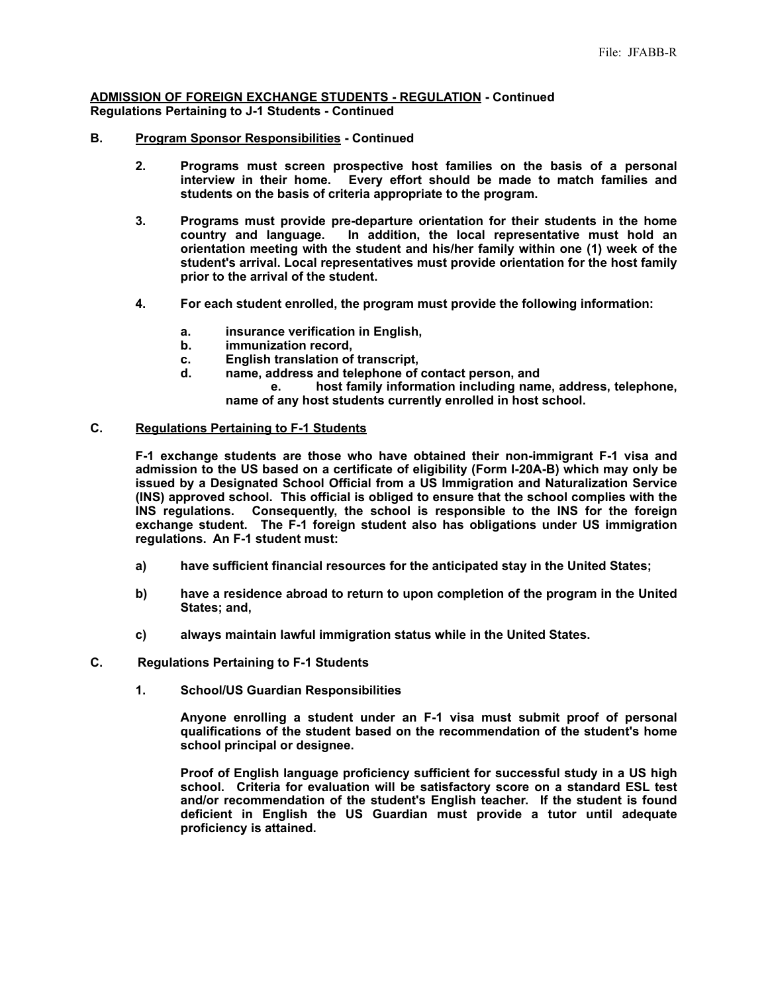### **ADMISSION OF FOREIGN EXCHANGE STUDENTS - REGULATION - Continued Regulations Pertaining to J-1 Students - Continued**

# **B. Program Sponsor Responsibilities - Continued**

- **2. Programs must screen prospective host families on the basis of a personal interview in their home. Every effort should be made to match families and students on the basis of criteria appropriate to the program.**
- **3. Programs must provide pre-departure orientation for their students in the home**  In addition, the local representative must hold an **orientation meeting with the student and his/her family within one (1) week of the student's arrival. Local representatives must provide orientation for the host family prior to the arrival of the student.**
- **4. For each student enrolled, the program must provide the following information:**
	- **a. insurance verification in English,**
	- **b. immunization record,**
	- **c. English translation of transcript,**
	- name, address and telephone of contact person, and

 **e. host family information including name, address, telephone, name of any host students currently enrolled in host school.**

## **C. Regulations Pertaining to F-1 Students**

**F-1 exchange students are those who have obtained their non-immigrant F-1 visa and admission to the US based on a certificate of eligibility (Form I-20A-B) which may only be issued by a Designated School Official from a US Immigration and Naturalization Service (INS) approved school. This official is obliged to ensure that the school complies with the INS regulations. Consequently, the school is responsible to the INS for the foreign exchange student. The F-1 foreign student also has obligations under US immigration regulations. An F-1 student must:**

- **a) have sufficient financial resources for the anticipated stay in the United States;**
- **b) have a residence abroad to return to upon completion of the program in the United States; and,**
- **c) always maintain lawful immigration status while in the United States.**

#### **C. Regulations Pertaining to F-1 Students**

 **1. School/US Guardian Responsibilities**

**Anyone enrolling a student under an F-1 visa must submit proof of personal qualifications of the student based on the recommendation of the student's home school principal or designee.**

**Proof of English language proficiency sufficient for successful study in a US high school. Criteria for evaluation will be satisfactory score on a standard ESL test and/or recommendation of the student's English teacher. If the student is found deficient in English the US Guardian must provide a tutor until adequate proficiency is attained.**